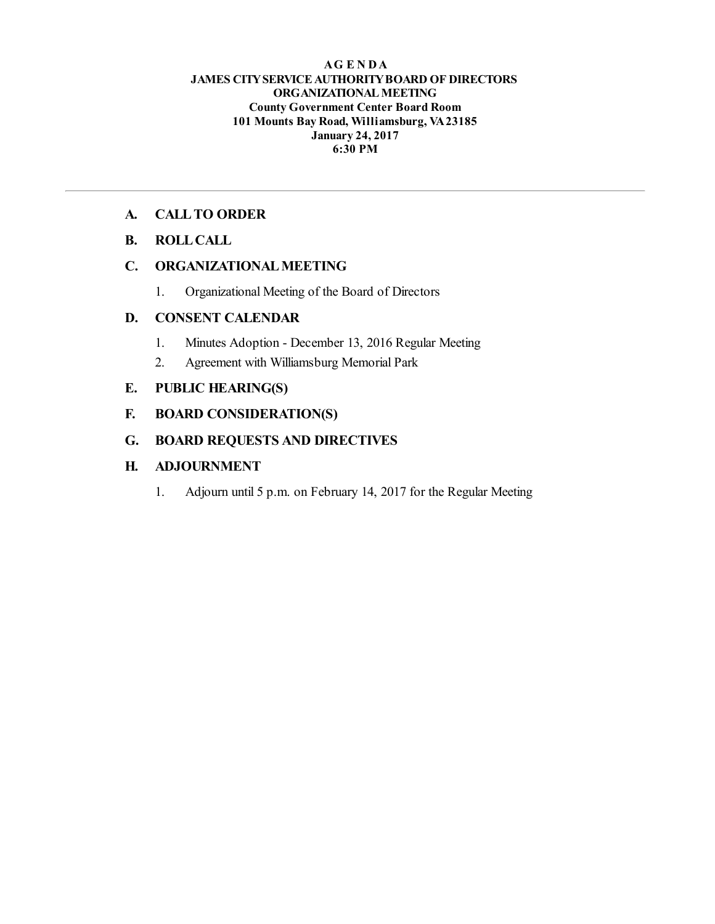#### **AG E N DA JAMES CITYSERVICEAUTHORITYBOARD OF DIRECTORS ORGANIZATIONALMEETING County Government Center Board Room 101 Mounts Bay Road, Williamsburg, VA23185 January 24, 2017 6:30 PM**

## **A. CALLTO ORDER**

## **B. ROLLCALL**

## **C. ORGANIZATIONALMEETING**

1. Organizational Meeting of the Board of Directors

## **D. CONSENT CALENDAR**

- 1. Minutes Adoption December 13, 2016 Regular Meeting
- 2. Agreement with Williamsburg Memorial Park

## **E. PUBLIC HEARING(S)**

**F. BOARD CONSIDERATION(S)**

## **G. BOARD REQUESTS AND DIRECTIVES**

#### **H. ADJOURNMENT**

1. Adjourn until 5 p.m. on February 14, 2017 for the Regular Meeting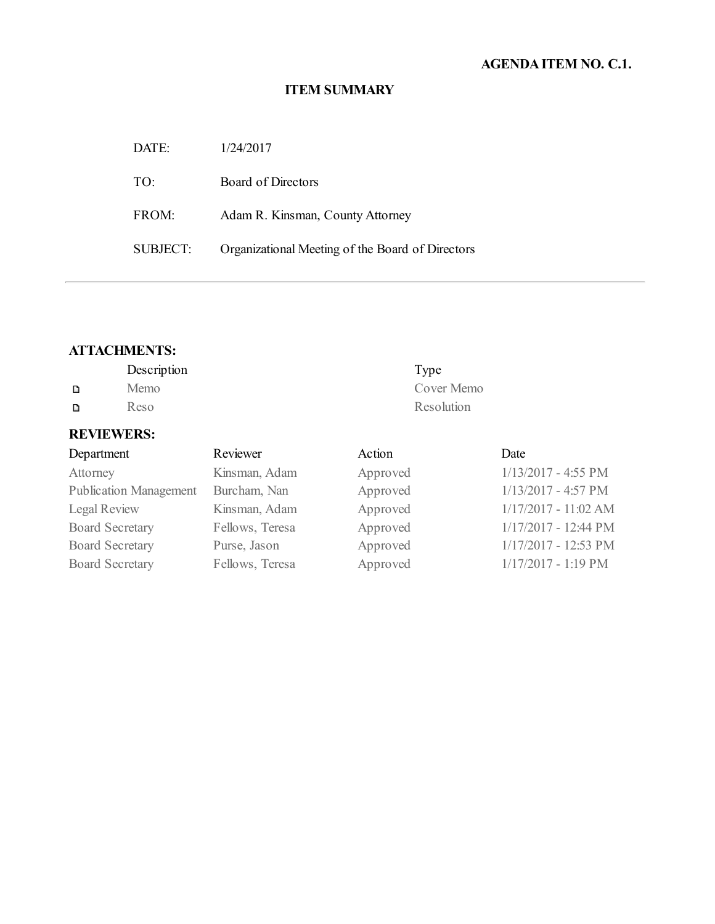# **AGENDAITEM NO. C.1.**

# **ITEM SUMMARY**

| DATE:    | 1/24/2017                                        |
|----------|--------------------------------------------------|
| TO:      | Board of Directors                               |
| FROM:    | Adam R. Kinsman, County Attorney                 |
| SUBJECT: | Organizational Meeting of the Board of Directors |
|          |                                                  |

# **ATTACHMENTS:**

| Description | Type       |
|-------------|------------|
| <b>Memo</b> | Cover Memo |
| Reso        | Resolution |
|             |            |

## **REVIEWERS:**

| Reviewer        | Action   | Date                 |
|-----------------|----------|----------------------|
| Kinsman, Adam   | Approved | 1/13/2017 - 4:55 PM  |
| Burcham, Nan    | Approved | 1/13/2017 - 4:57 PM  |
| Kinsman, Adam   | Approved | 1/17/2017 - 11:02 AM |
| Fellows, Teresa | Approved | 1/17/2017 - 12:44 PM |
| Purse, Jason    | Approved | 1/17/2017 - 12:53 PM |
| Fellows, Teresa | Approved | 1/17/2017 - 1:19 PM  |
|                 |          |                      |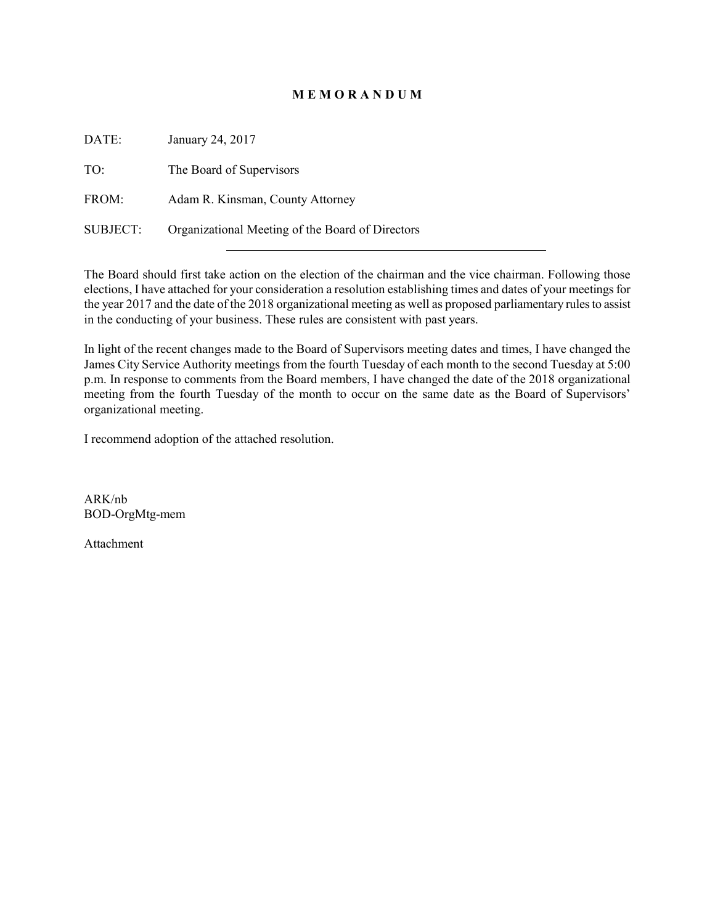#### **M E M O R A N D U M**

| DATE:           | January 24, 2017                                 |
|-----------------|--------------------------------------------------|
| TO:             | The Board of Supervisors                         |
| FROM:           | Adam R. Kinsman, County Attorney                 |
| <b>SUBJECT:</b> | Organizational Meeting of the Board of Directors |

The Board should first take action on the election of the chairman and the vice chairman. Following those elections, I have attached for your consideration a resolution establishing times and dates of your meetings for the year 2017 and the date of the 2018 organizational meeting as well as proposed parliamentary rules to assist in the conducting of your business. These rules are consistent with past years.

In light of the recent changes made to the Board of Supervisors meeting dates and times, I have changed the James City Service Authority meetings from the fourth Tuesday of each month to the second Tuesday at 5:00 p.m. In response to comments from the Board members, I have changed the date of the 2018 organizational meeting from the fourth Tuesday of the month to occur on the same date as the Board of Supervisors' organizational meeting.

I recommend adoption of the attached resolution.

ARK/nb BOD-OrgMtg-mem

Attachment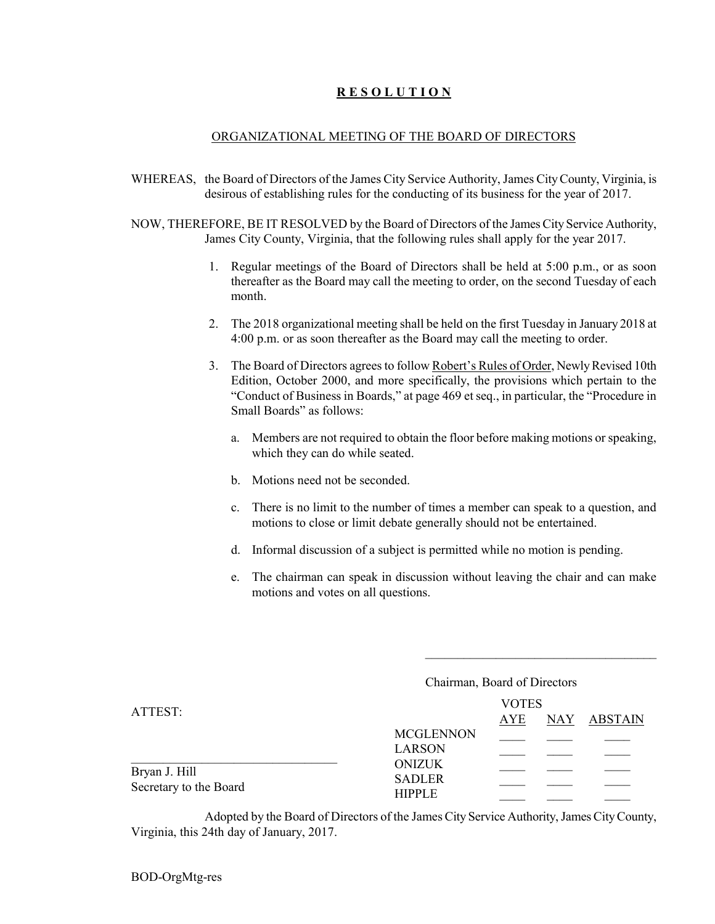#### **R E S O L U T I O N**

#### ORGANIZATIONAL MEETING OF THE BOARD OF DIRECTORS

- WHEREAS, the Board of Directors of the James City Service Authority, James City County, Virginia, is desirous of establishing rules for the conducting of its business for the year of 2017.
- NOW, THEREFORE, BE IT RESOLVED by the Board of Directors of the James City Service Authority, James City County, Virginia, that the following rules shall apply for the year 2017.
	- 1. Regular meetings of the Board of Directors shall be held at 5:00 p.m., or as soon thereafter as the Board may call the meeting to order, on the second Tuesday of each month.
	- 2. The 2018 organizational meeting shall be held on the first Tuesday in January 2018 at 4:00 p.m. or as soon thereafter as the Board may call the meeting to order.
	- 3. The Board of Directors agrees to follow Robert's Rules of Order, Newly Revised 10th Edition, October 2000, and more specifically, the provisions which pertain to the "Conduct of Business in Boards," at page 469 et seq., in particular, the "Procedure in Small Boards" as follows:
		- a. Members are not required to obtain the floor before making motions or speaking, which they can do while seated.
		- b. Motions need not be seconded.
		- c. There is no limit to the number of times a member can speak to a question, and motions to close or limit debate generally should not be entertained.
		- d. Informal discussion of a subject is permitted while no motion is pending.
		- e. The chairman can speak in discussion without leaving the chair and can make motions and votes on all questions.

\_\_\_\_\_\_\_\_\_\_\_\_\_\_\_\_\_\_\_\_\_\_\_\_\_\_\_\_\_\_\_\_\_\_\_\_

|                        | Chairman, Board of Directors   |              |     |         |
|------------------------|--------------------------------|--------------|-----|---------|
|                        |                                | <b>VOTES</b> |     |         |
| ATTEST:                |                                | AYE          | NAY | ABSTAIN |
|                        | <b>MCGLENNON</b>               |              |     |         |
|                        | <b>LARSON</b>                  |              |     |         |
| Bryan J. Hill          | <b>ONIZUK</b><br><b>SADLER</b> |              |     |         |
| Secretary to the Board | <b>HIPPLE</b>                  |              |     |         |

Adopted by the Board of Directors of the James City Service Authority, James City County, Virginia, this 24th day of January, 2017.

BOD-OrgMtg-res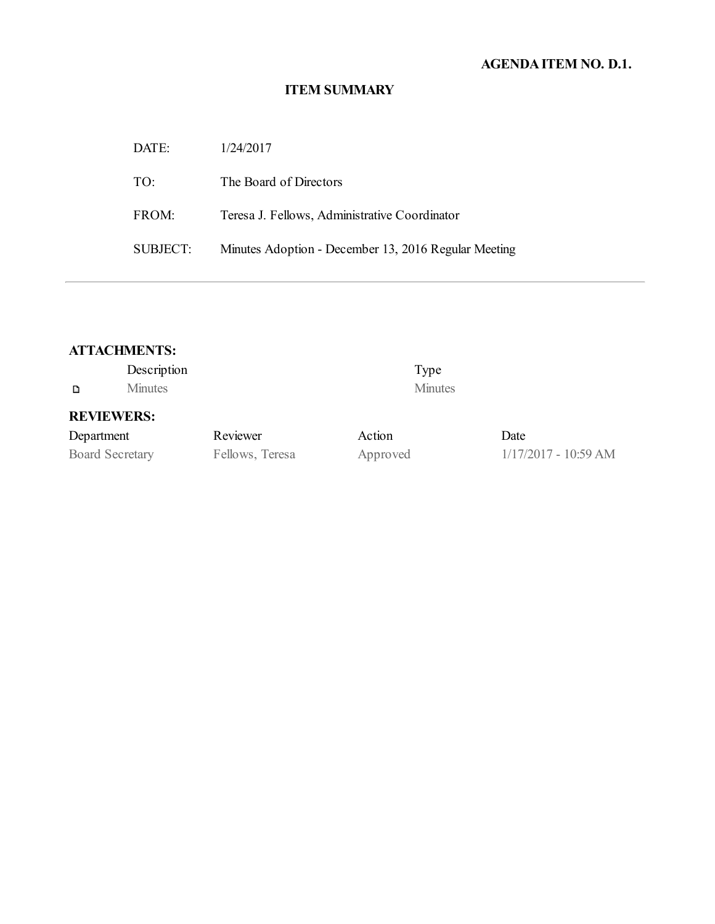# **AGENDAITEM NO. D.1.**

# **ITEM SUMMARY**

| DATE:           | 1/24/2017                                            |
|-----------------|------------------------------------------------------|
| TO:             | The Board of Directors                               |
| FROM:           | Teresa J. Fellows, Administrative Coordinator        |
| <b>SUBJECT:</b> | Minutes Adoption - December 13, 2016 Regular Meeting |

# **ATTACHMENTS:**

|                        | Description       |                 | Type           |                        |
|------------------------|-------------------|-----------------|----------------|------------------------|
| D                      | <b>Minutes</b>    |                 | <b>Minutes</b> |                        |
|                        | <b>REVIEWERS:</b> |                 |                |                        |
| Department             |                   | Reviewer        | Action         | Date                   |
| <b>Board Secretary</b> |                   | Fellows, Teresa | Approved       | $1/17/2017 - 10:59$ AM |
|                        |                   |                 |                |                        |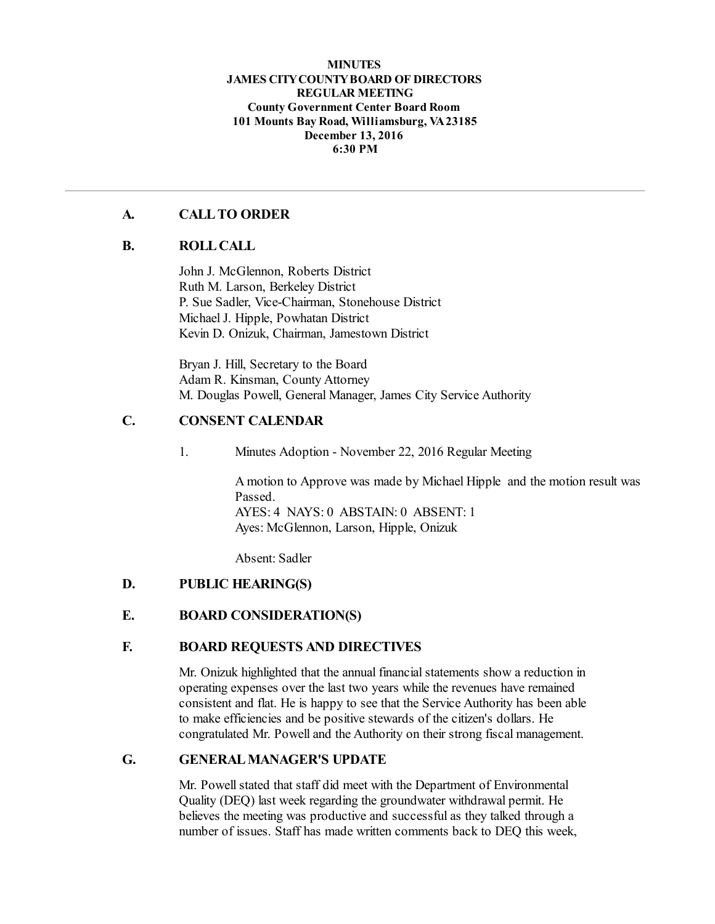#### **MINUTES JAMES CITYCOUNTYBOARD OF DIRECTORS REGULAR MEETING County Government Center Board Room 101 Mounts Bay Road, Williamsburg, VA23185 December 13, 2016 6:30 PM**

## **A. CALLTO ORDER**

#### **B. ROLLCALL**

John J. McGlennon, Roberts District Ruth M. Larson, Berkeley District P. Sue Sadler, Vice-Chairman, Stonehouse District Michael J. Hipple, Powhatan District Kevin D. Onizuk, Chairman, Jamestown District

Bryan J. Hill, Secretary to the Board Adam R. Kinsman, County Attorney M. Douglas Powell, General Manager, James City Service Authority

#### **C. CONSENT CALENDAR**

1. Minutes Adoption - November 22, 2016 Regular Meeting

Amotion to Approve was made by Michael Hipple and the motion result was Passed. AYES: 4 NAYS: 0 ABSTAIN: 0 ABSENT: 1 Ayes: McGlennon, Larson, Hipple, Onizuk

Absent: Sadler

#### **D. PUBLIC HEARING(S)**

**E. BOARD CONSIDERATION(S)**

#### **F. BOARD REQUESTS AND DIRECTIVES**

Mr. Onizuk highlighted that the annual financial statements show a reduction in operating expenses over the last two years while the revenues have remained consistent and flat. He is happy to see that the Service Authority has been able to make efficiencies and be positive stewards of the citizen's dollars. He congratulated Mr. Powelland the Authority on their strong fiscal management.

#### **G. GENERALMANAGER'S UPDATE**

Mr. Powell stated that staff did meet with the Department of Environmental Quality (DEQ) last week regarding the groundwater withdrawal permit. He believes the meeting was productive and successfulas they talked through a number of issues. Staff has made written comments back to DEQ this week,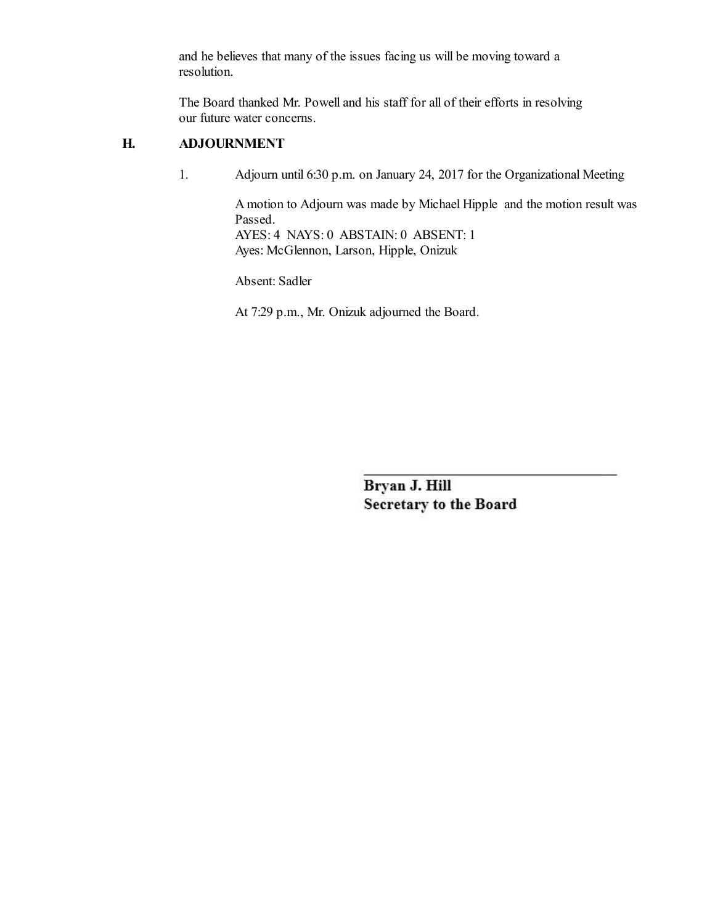and he believes that many of the issues facing us will be moving toward a resolution.

The Board thanked Mr. Powelland his staff for all of their efforts in resolving our future water concerns.

## **H. ADJOURNMENT**

1. Adjourn until 6:30 p.m. on January 24, 2017 for the Organizational Meeting

Amotion to Adjourn was made by Michael Hipple and the motion result was Passed.

AYES: 4 NAYS: 0 ABSTAIN: 0 ABSENT: 1 Ayes: McGlennon, Larson, Hipple, Onizuk

Absent: Sadler

At 7:29 p.m., Mr. Onizuk adjourned the Board.

Bryan J. Hill **Secretary to the Board**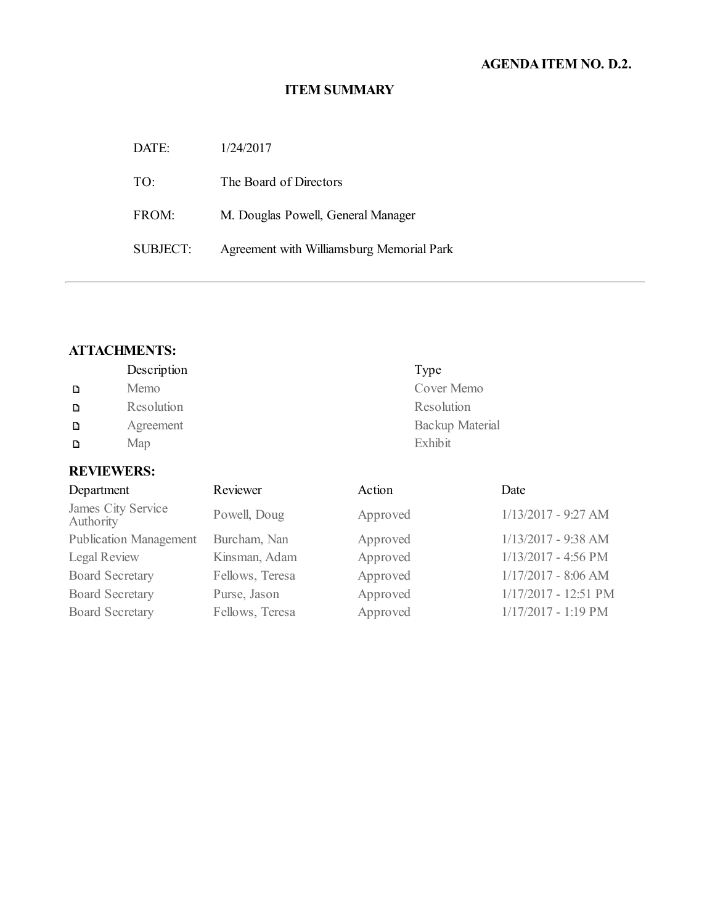# **AGENDAITEM NO. D.2.**

## **ITEM SUMMARY**

| DATE:    | 1/24/2017                                 |
|----------|-------------------------------------------|
| TO:      | The Board of Directors                    |
| FROM:    | M. Douglas Powell, General Manager        |
| SUBJECT: | Agreement with Williamsburg Memorial Park |

# **ATTACHMENTS:**

|   | Description | Type            |
|---|-------------|-----------------|
| D | Memo        | Cover Memo      |
| D | Resolution  | Resolution      |
| D | Agreement   | Backup Material |
| D | Map         | Exhibit         |
|   |             |                 |

# **REVIEWERS:**

| Reviewer        | Action   | Date                  |
|-----------------|----------|-----------------------|
| Powell, Doug    | Approved | $1/13/2017 - 9:27 AM$ |
| Burcham, Nan    | Approved | $1/13/2017 - 9:38$ AM |
| Kinsman, Adam   | Approved | 1/13/2017 - 4:56 PM   |
| Fellows, Teresa | Approved | $1/17/2017 - 8:06 AM$ |
| Purse, Jason    | Approved | 1/17/2017 - 12:51 PM  |
| Fellows, Teresa | Approved | 1/17/2017 - 1:19 PM   |
|                 |          |                       |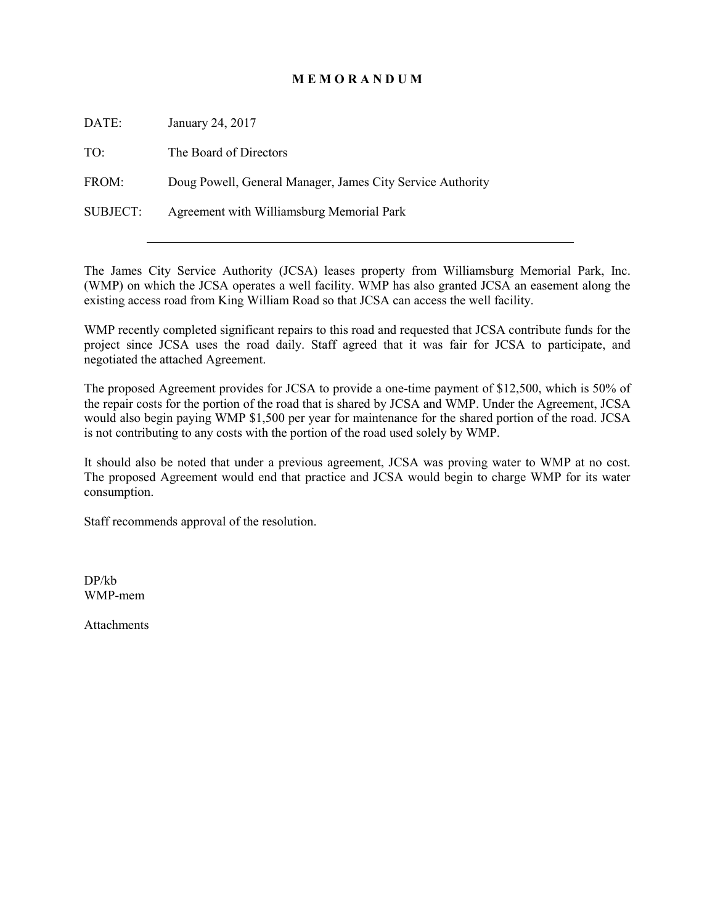#### **M E M O R A N D U M**

DATE: January 24, 2017 TO: The Board of Directors FROM: Doug Powell, General Manager, James City Service Authority SUBJECT: Agreement with Williamsburg Memorial Park

The James City Service Authority (JCSA) leases property from Williamsburg Memorial Park, Inc. (WMP) on which the JCSA operates a well facility. WMP has also granted JCSA an easement along the existing access road from King William Road so that JCSA can access the well facility.

WMP recently completed significant repairs to this road and requested that JCSA contribute funds for the project since JCSA uses the road daily. Staff agreed that it was fair for JCSA to participate, and negotiated the attached Agreement.

The proposed Agreement provides for JCSA to provide a one-time payment of \$12,500, which is 50% of the repair costs for the portion of the road that is shared by JCSA and WMP. Under the Agreement, JCSA would also begin paying WMP \$1,500 per year for maintenance for the shared portion of the road. JCSA is not contributing to any costs with the portion of the road used solely by WMP.

It should also be noted that under a previous agreement, JCSA was proving water to WMP at no cost. The proposed Agreement would end that practice and JCSA would begin to charge WMP for its water consumption.

Staff recommends approval of the resolution.

DP/kb WMP-mem

**Attachments**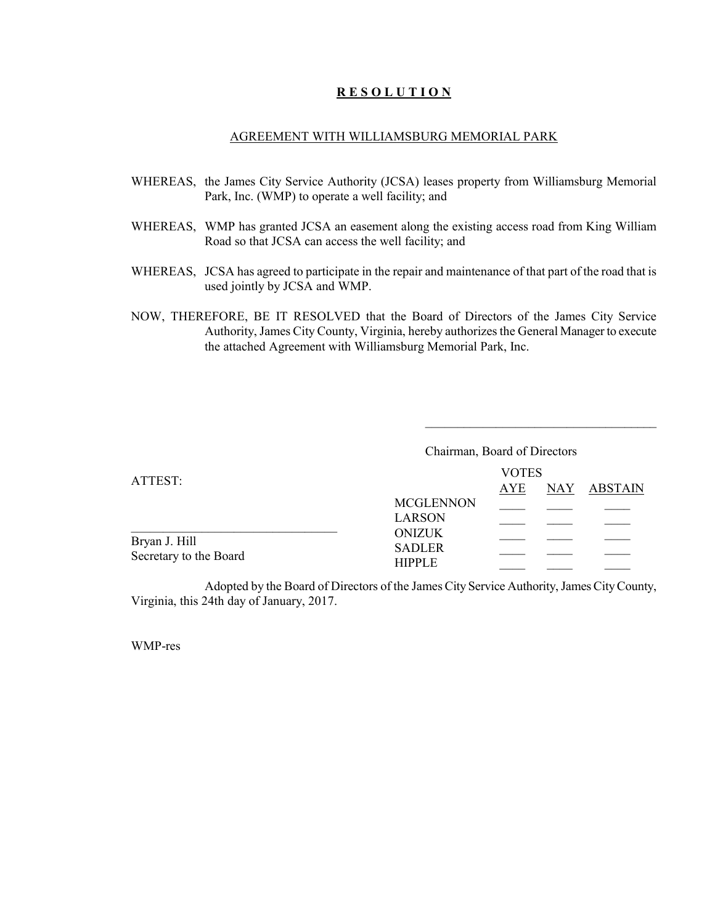#### **R E S O L U T I O N**

#### AGREEMENT WITH WILLIAMSBURG MEMORIAL PARK

- WHEREAS, the James City Service Authority (JCSA) leases property from Williamsburg Memorial Park, Inc. (WMP) to operate a well facility; and
- WHEREAS, WMP has granted JCSA an easement along the existing access road from King William Road so that JCSA can access the well facility; and
- WHEREAS, JCSA has agreed to participate in the repair and maintenance of that part of the road that is used jointly by JCSA and WMP.
- NOW, THEREFORE, BE IT RESOLVED that the Board of Directors of the James City Service Authority, James City County, Virginia, hereby authorizes the General Manager to execute the attached Agreement with Williamsburg Memorial Park, Inc.

\_\_\_\_\_\_\_\_\_\_\_\_\_\_\_\_\_\_\_\_\_\_\_\_\_\_\_\_\_\_\_\_\_\_\_\_

|                        | Chairman, Board of Directors   |              |     |         |
|------------------------|--------------------------------|--------------|-----|---------|
|                        |                                | <b>VOTES</b> |     |         |
| ATTEST:                |                                | AYE          | NAY | ABSTAIN |
|                        | <b>MCGLENNON</b>               |              |     |         |
|                        | <b>LARSON</b>                  |              |     |         |
| Bryan J. Hill          | <b>ONIZUK</b><br><b>SADLER</b> |              |     |         |
| Secretary to the Board | <b>HIPPLE</b>                  |              |     |         |

Adopted by the Board of Directors of the James City Service Authority, James City County, Virginia, this 24th day of January, 2017.

WMP-res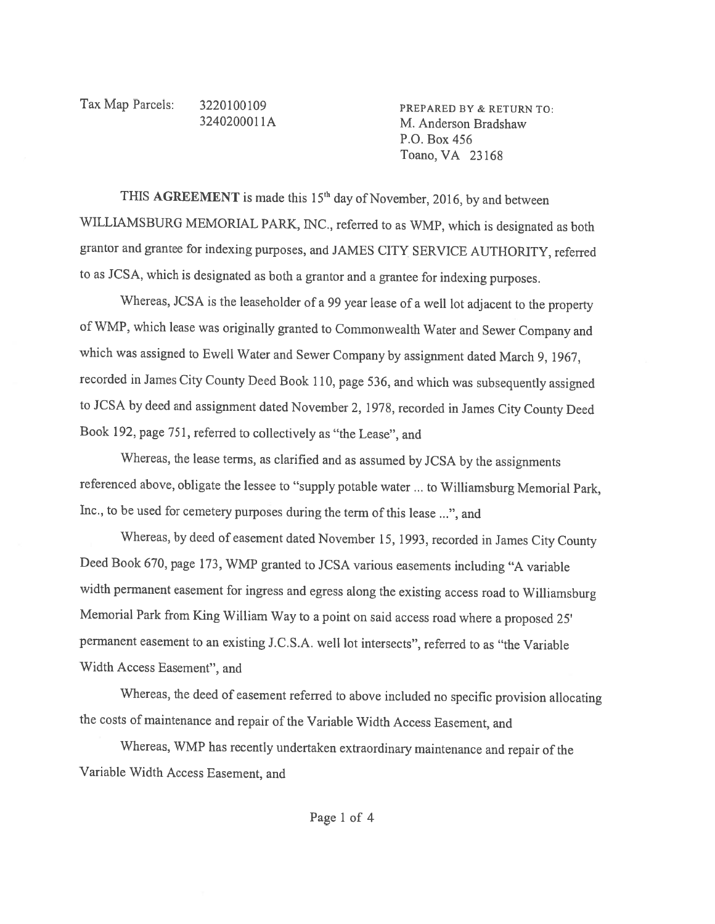Tax Map Parcels: 3220100109 PREPARED BY & RETURN TO: 324020001 1A M. Anderson Bradshaw P.O.Box456 Toano,VA 23168

THIS AGREEMENT is made this  $15<sup>th</sup>$  day of November, 2016, by and between WILLIAMSBURG MEMORIAL PARK, NC., referred to as WMP, which is designated as both grantor and grantee for indexing purposes, and JAMES CITY SERVICE AUTHORITY, referred to as JCSA, which is designated as both <sup>a</sup> grantor and <sup>a</sup> grantee for indexing purposes.

Whereas, JCSA is the leaseholder of <sup>a</sup> <sup>99</sup> year lease of <sup>a</sup> well lot adjacent to the property of WMP, which lease was originally granted to Commonwealth Water and Sewer Company and which was assigned to Ewell Water and Sewer Company by assignment dated March 9, 1967, recorded in James City County Deed Book 110, page 536, and which was subsequently assigned to JCSA by deed and assignment dated November 2, 1978, recorded in James City County Deed Book 192, page 751, referred to collectively as "the Lease", and

Whereas, the lease terms, as clarified and as assumed by JCSA by the assignments referenced above, obligate the lessee to "supply potable water ... to Williamsburg Memorial Park, Inc., to be used for cemetery purposes during the term of this lease ...", and

Whereas, by deed of easement dated November 15, 1993, recorded in James City County Deed Book 670, page 173, WMP granted to JCSA various easements including "A variable width permanent easement for ingress and egress along the existing access road to Williamsburg Memorial Park from King William Way to <sup>a</sup> point on said access road where <sup>a</sup> proposed 25' permanent easement to an existing J.C.S.A. well lot intersects", referred to as "the Variable Width Access Easement", and

Whereas, the deed of easement referred to above included no specific provision allocating the costs of maintenance and repair of the Variable Width Access Easement, and

Whereas, WMP has recently undertaken extraordinary maintenance and repair of the Variable Width Access Easement, and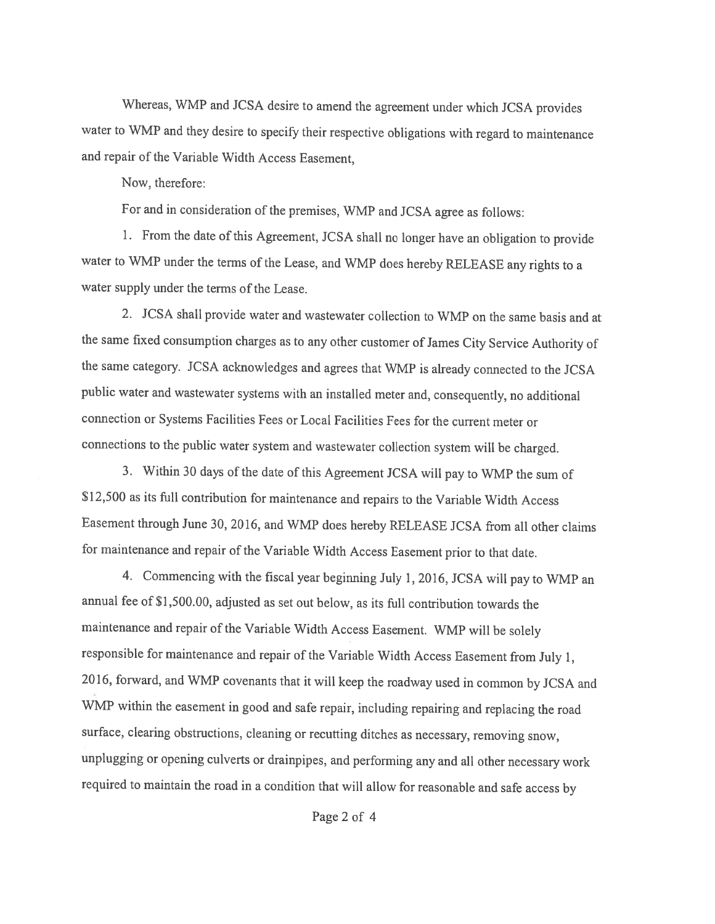Whereas, WMP and JCSA desire to amend the agreement under which JCSA provides water to WMP and they desire to specify their respective obligations with regard to maintenance and repair of the Variable Width Access Easement,

Now, therefore:

For and in consideration of the premises, WMP and JCSA agree as follows:

1. From the date of this Agreement, JCSA shall no longer have an obligation to provide water to WMP under the terms of the Lease, and WMP does hereby RELEASE any rights to <sup>a</sup> water supply under the terms of the Lease.

2. JCSA shall provide water and wastewater collection to WMP on the same basis and at the same fixed consumption charges as to any other customer of James City Service Authority of the same category. JCSA acknowledges and agrees that WMP is already connected to the JCSA public water and wastewater systems with an installed meter and, consequently, no additional connection or Systems Facilities Fees or Local Facilities Fees for the current meter or connections to the public water system and wastewater collection system will be charged.

3. Within <sup>30</sup> days of the date of this Agreement JCSA will pay to WMP the sum of \$12,500 as its full contribution for maintenance and repairs to the Variable Width Access Easement through June 30, 2016, and WMP does hereby RELEASE JCSA from all other claims for maintenance and repair of the Variable Width Access Easement prior to that date.

4. Commencing with the fiscal year beginning July 1,2016, JCSA will pay to WMP an annual fee of \$1,500.00, adjusted as set out below, as its full contribution towards the maintenance and repair of the Variable Width Access Easement. WMP will be solely responsible for maintenance and repair of the Variable Width Access Easement from July 1, 2016, forward, and WMP covenants that it will keep the roadway used in common by JCSA and WMP within the easement in good and safe repair, including repairing and replacing the road surface, clearing obstructions, cleaning or recutting ditches as necessary, removing snow, unplugging or opening culverts or drainpipes, and performing any and all other necessary work required to maintain the road in <sup>a</sup> condition that will allow for reasonable and safe access by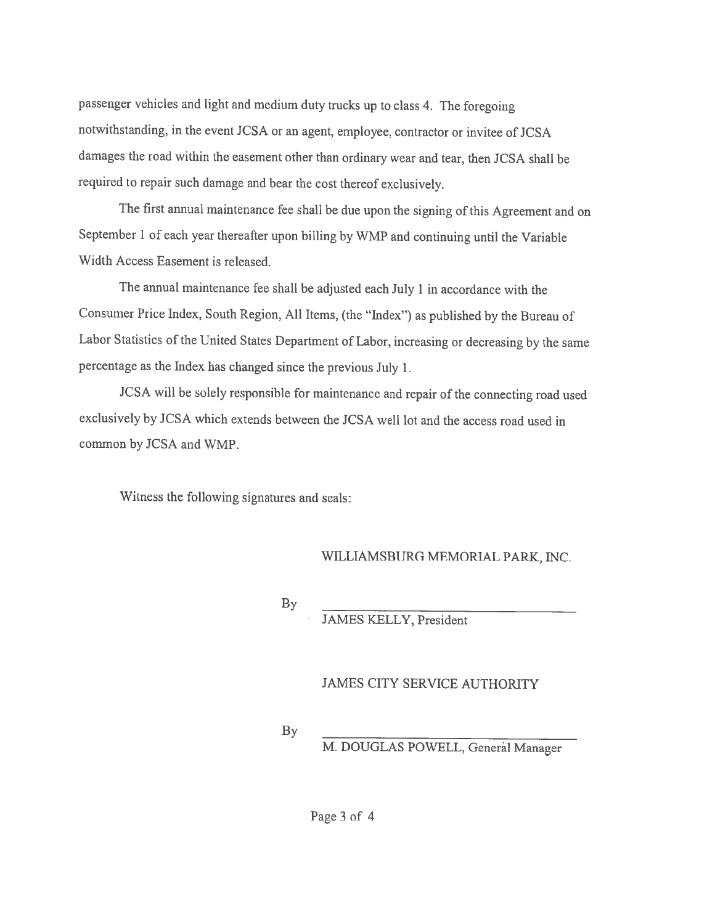passenger vehicles and light and medium duty trucks up to class 4. The foregoing notwithstanding, in the event JCSA or an agent, employee, contractor or invitee of JCSA damages the road within the easement other than ordinary wear and tear, then JCSA shall be required to repair such damage and bear the cost thereof exclusively.

The first annual maintenance fee shall be due upon the signing of this Agreement and on September <sup>1</sup> of each year thereafter upon billing by WMP and continuing until the Variable Width Access Easement is released.

The annual maintenance fee shall be adjusted each July <sup>1</sup> in accordance with the Consumer Price Index, South Region, All Items, (the "Index") as published by the Bureau of Labor Statistics of the United States Department of Labor, increasing or decreasing by the same percentage as the Index has changed since the previous July 1.

JCSA will be solely responsible for maintenance and repair of the connecting road used exclusively by JCSA which extends between the JCSA well lot and the access road used in common by JCSA and WMP.

Witness the following signatures and seals:

#### WILLIAMSBURG MEMORIAL PARK, INC.

By

JAMES KELLY, President

## JAMES CITY SERVICE AUTHORITY

By

M. DOUGLAS POWELL, General Manager

Page 3 of 4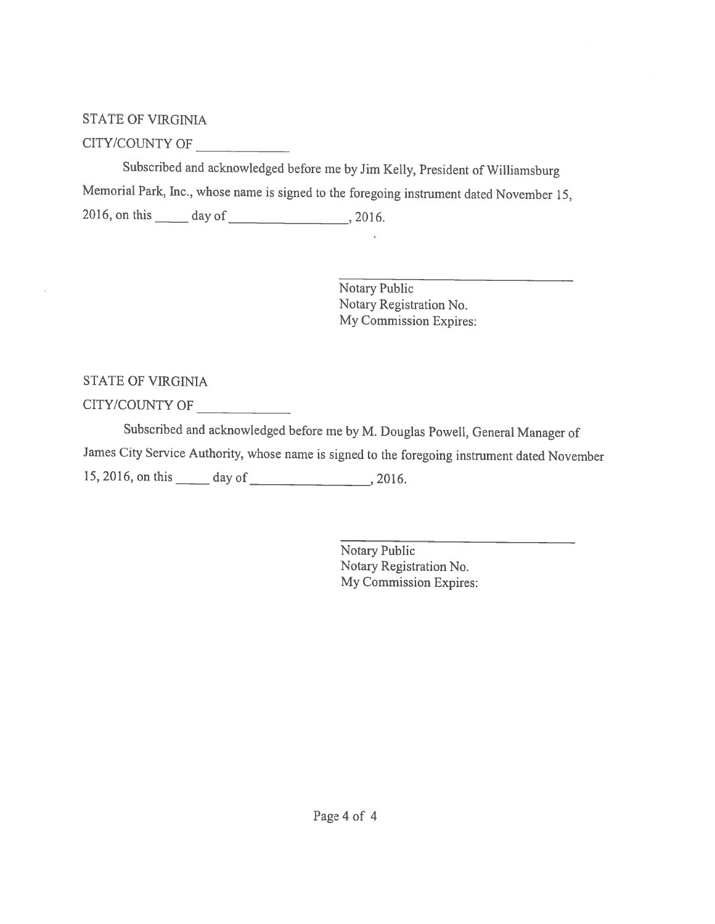## STATE OF VIRGINIA

CITY/COIJNTY OF

Subscribed and acknowledged before me by Jim Kelly, President of Williamsburg Memorial Park, Inc., whose name is signed to the foregoing instrument dated November 15, 2016, onthis dayof ,2016.

> Notary Public Notary Registration No. My Commission Expires:

## STATE OF VIRGINIA

¥,

CITY/COUNTY OF

Subscribed and acknowledged before me by M. Douglas Powell, General Manager of James City Service Authority, whose name is signed to the foregoing instrument dated November 15,2016,onthis dayof ,2016.

> Notary Public Notary Registration No. My Commission Expires: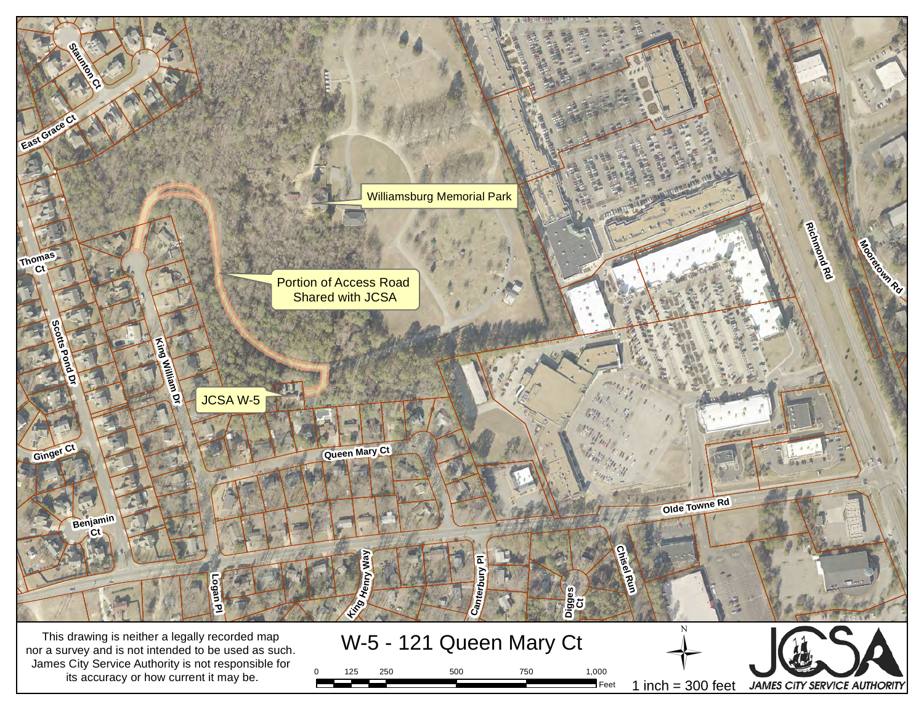